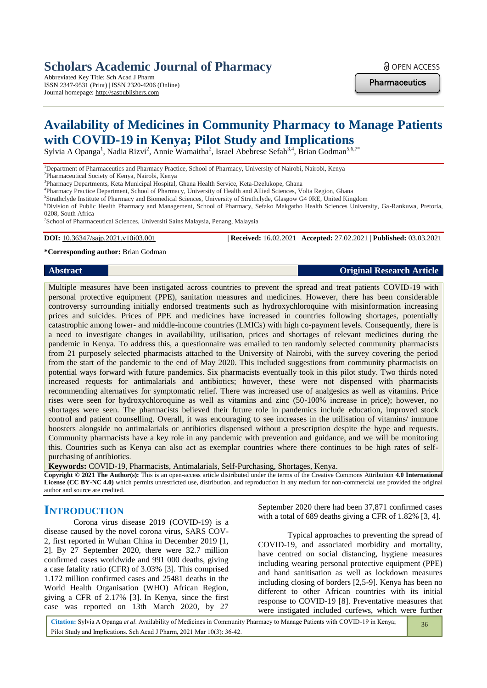# **Scholars Academic Journal of Pharmacy**

Abbreviated Key Title: Sch Acad J Pharm ISSN 2347-9531 (Print) | ISSN 2320-4206 (Online) Journal homepage: http://saspublishers.com

**a** OPEN ACCESS

**Pharmaceutics** 

# **Availability of Medicines in Community Pharmacy to Manage Patients with COVID-19 in Kenya; Pilot Study and Implications**

Sylvia A Opanga<sup>1</sup>, Nadia Rizvi<sup>2</sup>, Annie Wamaitha<sup>2</sup>, Israel Abebrese Sefah<sup>3,4</sup>, Brian Godman<sup>5,6,7\*</sup>

<sup>1</sup>Department of Pharmaceutics and Pharmacy Practice, School of Pharmacy, University of Nairobi, Nairobi, Kenya

2 Pharmaceutical Society of Kenya, Nairobi, Kenya

3 Pharmacy Departments, Keta Municipal Hospital, Ghana Health Service, Keta-Dzelukope, Ghana

4 Pharmacy Practice Department, School of Pharmacy, University of Health and Allied Sciences, Volta Region, Ghana

5 Strathclyde Institute of Pharmacy and Biomedical Sciences, University of Strathclyde, Glasgow G4 0RE, United Kingdom

<sup>6</sup>Division of Public Health Pharmacy and Management, School of Pharmacy, Sefako Makgatho Health Sciences University, Ga-Rankuwa, Pretoria, 0208, South Africa

<sup>7</sup>School of Pharmaceutical Sciences, Universiti Sains Malaysia, Penang, Malaysia

**DOI:** 10.36347/sajp.2021.v10i03.001 | **Received:** 16.02.2021 | **Accepted:** 27.02.2021 | **Published:** 03.03.2021

#### **\*Corresponding author:** Brian Godman

#### **Abstract Original Research Article**

Multiple measures have been instigated across countries to prevent the spread and treat patients COVID-19 with personal protective equipment (PPE), sanitation measures and medicines. However, there has been considerable controversy surrounding initially endorsed treatments such as hydroxychloroquine with misinformation increasing prices and suicides. Prices of PPE and medicines have increased in countries following shortages, potentially catastrophic among lower- and middle-income countries (LMICs) with high co-payment levels. Consequently, there is a need to investigate changes in availability, utilisation, prices and shortages of relevant medicines during the pandemic in Kenya. To address this, a questionnaire was emailed to ten randomly selected community pharmacists from 21 purposely selected pharmacists attached to the University of Nairobi, with the survey covering the period from the start of the pandemic to the end of May 2020. This included suggestions from community pharmacists on potential ways forward with future pandemics. Six pharmacists eventually took in this pilot study. Two thirds noted increased requests for antimalarials and antibiotics; however, these were not dispensed with pharmacists recommending alternatives for symptomatic relief. There was increased use of analgesics as well as vitamins. Price rises were seen for hydroxychloroquine as well as vitamins and zinc (50-100% increase in price); however, no shortages were seen. The pharmacists believed their future role in pandemics include education, improved stock control and patient counselling. Overall, it was encouraging to see increases in the utilisation of vitamins/ immune boosters alongside no antimalarials or antibiotics dispensed without a prescription despite the hype and requests. Community pharmacists have a key role in any pandemic with prevention and guidance, and we will be monitoring this. Countries such as Kenya can also act as exemplar countries where there continues to be high rates of selfpurchasing of antibiotics.

**Keywords:** COVID-19, Pharmacists, Antimalarials, Self-Purchasing, Shortages, Kenya.

**Copyright © 2021 The Author(s):** This is an open-access article distributed under the terms of the Creative Commons Attribution **4.0 International License (CC BY-NC 4.0)** which permits unrestricted use, distribution, and reproduction in any medium for non-commercial use provided the original author and source are credited.

# **INTRODUCTION**

Corona virus disease 2019 (COVID-19) is a disease caused by the novel corona virus, SARS COV-2, first reported in Wuhan China in December 2019 [1, 2]. By 27 September 2020, there were 32.7 million confirmed cases worldwide and 991 000 deaths, giving a case fatality ratio (CFR) of 3.03% [3]. This comprised 1.172 million confirmed cases and 25481 deaths in the World Health Organisation (WHO) African Region, giving a CFR of 2.17% [3]. In Kenya, since the first case was reported on 13th March 2020, by 27

September 2020 there had been 37,871 confirmed cases with a total of 689 deaths giving a CFR of 1.82% [3, 4].

Typical approaches to preventing the spread of COVID-19, and associated morbidity and mortality, have centred on social distancing, hygiene measures including wearing personal protective equipment (PPE) and hand sanitisation as well as lockdown measures including closing of borders [2,5-9]. Kenya has been no different to other African countries with its initial response to COVID-19 [8]. Preventative measures that were instigated included curfews, which were further

**Citation:** Sylvia A Opanga *et al*. Availability of Medicines in Community Pharmacy to Manage Patients with COVID-19 in Kenya; Pilot Study and Implications. Sch Acad J Pharm, 2021 Mar 10(3): 36-42.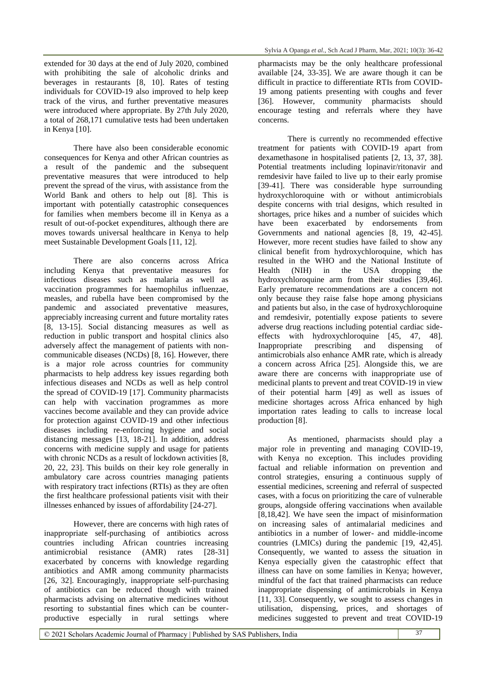extended for 30 days at the end of July 2020, combined with prohibiting the sale of alcoholic drinks and beverages in restaurants [8, 10]. Rates of testing individuals for COVID-19 also improved to help keep track of the virus, and further preventative measures were introduced where appropriate. By 27th July 2020, a total of 268,171 cumulative tests had been undertaken in Kenya [10].

There have also been considerable economic consequences for Kenya and other African countries as a result of the pandemic and the subsequent preventative measures that were introduced to help prevent the spread of the virus, with assistance from the World Bank and others to help out [8]. This is important with potentially catastrophic consequences for families when members become ill in Kenya as a result of out-of-pocket expenditures, although there are moves towards universal healthcare in Kenya to help meet Sustainable Development Goals [11, 12].

There are also concerns across Africa including Kenya that preventative measures for infectious diseases such as malaria as well as vaccination programmes for haemophilus influenzae, measles, and rubella have been compromised by the pandemic and associated preventative measures, appreciably increasing current and future mortality rates [8, 13-15]. Social distancing measures as well as reduction in public transport and hospital clinics also adversely affect the management of patients with noncommunicable diseases (NCDs) [8, 16]. However, there is a major role across countries for community pharmacists to help address key issues regarding both infectious diseases and NCDs as well as help control the spread of COVID-19 [17]. Community pharmacists can help with vaccination programmes as more vaccines become available and they can provide advice for protection against COVID-19 and other infectious diseases including re-enforcing hygiene and social distancing messages [13, 18-21]. In addition, address concerns with medicine supply and usage for patients with chronic NCDs as a result of lockdown activities [8, 20, 22, 23]. This builds on their key role generally in ambulatory care across countries managing patients with respiratory tract infections (RTIs) as they are often the first healthcare professional patients visit with their illnesses enhanced by issues of affordability [24-27].

However, there are concerns with high rates of inappropriate self-purchasing of antibiotics across countries including African countries increasing antimicrobial resistance (AMR) rates [28-31] exacerbated by concerns with knowledge regarding antibiotics and AMR among community pharmacists [26, 32]. Encouragingly, inappropriate self-purchasing of antibiotics can be reduced though with trained pharmacists advising on alternative medicines without resorting to substantial fines which can be counterproductive especially in rural settings where

pharmacists may be the only healthcare professional available [24, 33-35]. We are aware though it can be difficult in practice to differentiate RTIs from COVID-19 among patients presenting with coughs and fever [36]. However, community pharmacists should encourage testing and referrals where they have concerns.

There is currently no recommended effective treatment for patients with COVID-19 apart from dexamethasone in hospitalised patients [2, 13, 37, 38]. Potential treatments including lopinavir/ritonavir and remdesivir have failed to live up to their early promise [39-41]. There was considerable hype surrounding hydroxychloroquine with or without antimicrobials despite concerns with trial designs, which resulted in shortages, price hikes and a number of suicides which have been exacerbated by endorsements from Governments and national agencies [8, 19, 42-45]. However, more recent studies have failed to show any clinical benefit from hydroxychloroquine, which has resulted in the WHO and the National Institute of Health (NIH) in the USA dropping the hydroxychloroquine arm from their studies [39,46]. Early premature recommendations are a concern not only because they raise false hope among physicians and patients but also, in the case of hydroxychloroquine and remdesivir, potentially expose patients to severe adverse drug reactions including potential cardiac sideeffects with hydroxychloroquine [45, 47, 48]. Inappropriate prescribing and dispensing of antimicrobials also enhance AMR rate, which is already a concern across Africa [25]. Alongside this, we are aware there are concerns with inappropriate use of medicinal plants to prevent and treat COVID-19 in view of their potential harm [49] as well as issues of medicine shortages across Africa enhanced by high importation rates leading to calls to increase local production [8].

As mentioned, pharmacists should play a major role in preventing and managing COVID-19, with Kenya no exception. This includes providing factual and reliable information on prevention and control strategies, ensuring a continuous supply of essential medicines, screening and referral of suspected cases, with a focus on prioritizing the care of vulnerable groups, alongside offering vaccinations when available [8,18,42]. We have seen the impact of misinformation on increasing sales of antimalarial medicines and antibiotics in a number of lower- and middle-income countries (LMICs) during the pandemic [19, 42,45]. Consequently, we wanted to assess the situation in Kenya especially given the catastrophic effect that illness can have on some families in Kenya; however, mindful of the fact that trained pharmacists can reduce inappropriate dispensing of antimicrobials in Kenya [11, 33]. Consequently, we sought to assess changes in utilisation, dispensing, prices, and shortages of medicines suggested to prevent and treat COVID-19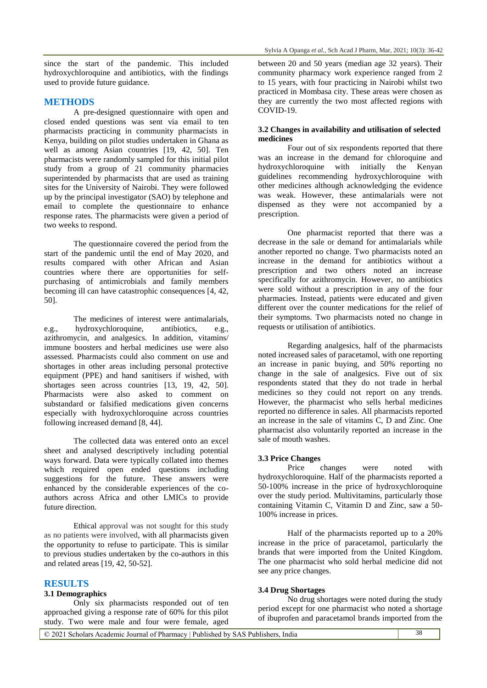since the start of the pandemic. This included hydroxychloroquine and antibiotics, with the findings used to provide future guidance.

## **METHODS**

A pre-designed questionnaire with open and closed ended questions was sent via email to ten pharmacists practicing in community pharmacists in Kenya, building on pilot studies undertaken in Ghana as well as among Asian countries [19, 42, 50]. Ten pharmacists were randomly sampled for this initial pilot study from a group of 21 community pharmacies superintended by pharmacists that are used as training sites for the University of Nairobi. They were followed up by the principal investigator (SAO) by telephone and email to complete the questionnaire to enhance response rates. The pharmacists were given a period of two weeks to respond.

The questionnaire covered the period from the start of the pandemic until the end of May 2020, and results compared with other African and Asian countries where there are opportunities for selfpurchasing of antimicrobials and family members becoming ill can have catastrophic consequences [4, 42, 50].

The medicines of interest were antimalarials, e.g., hydroxychloroquine, antibiotics, e.g., azithromycin, and analgesics. In addition, vitamins/ immune boosters and herbal medicines use were also assessed. Pharmacists could also comment on use and shortages in other areas including personal protective equipment (PPE) and hand sanitisers if wished, with shortages seen across countries [13, 19, 42, 50]. Pharmacists were also asked to comment on substandard or falsified medications given concerns especially with hydroxychloroquine across countries following increased demand [8, 44].

The collected data was entered onto an excel sheet and analysed descriptively including potential ways forward. Data were typically collated into themes which required open ended questions including suggestions for the future. These answers were enhanced by the considerable experiences of the coauthors across Africa and other LMICs to provide future direction.

Ethical approval was not sought for this study as no patients were involved, with all pharmacists given the opportunity to refuse to participate. This is similar to previous studies undertaken by the co-authors in this and related areas [19, 42, 50-52].

### **RESULTS**

## **3.1 Demographics**

Only six pharmacists responded out of ten approached giving a response rate of 60% for this pilot study. Two were male and four were female, aged between 20 and 50 years (median age 32 years). Their community pharmacy work experience ranged from 2 to 15 years, with four practicing in Nairobi whilst two practiced in Mombasa city. These areas were chosen as they are currently the two most affected regions with COVID-19.

#### **3.2 Changes in availability and utilisation of selected medicines**

Four out of six respondents reported that there was an increase in the demand for chloroquine and hydroxychloroquine with initially the Kenyan guidelines recommending hydroxychloroquine with other medicines although acknowledging the evidence was weak. However, these antimalarials were not dispensed as they were not accompanied by a prescription.

One pharmacist reported that there was a decrease in the sale or demand for antimalarials while another reported no change. Two pharmacists noted an increase in the demand for antibiotics without a prescription and two others noted an increase specifically for azithromycin. However, no antibiotics were sold without a prescription in any of the four pharmacies. Instead, patients were educated and given different over the counter medications for the relief of their symptoms. Two pharmacists noted no change in requests or utilisation of antibiotics.

Regarding analgesics, half of the pharmacists noted increased sales of paracetamol, with one reporting an increase in panic buying, and 50% reporting no change in the sale of analgesics. Five out of six respondents stated that they do not trade in herbal medicines so they could not report on any trends. However, the pharmacist who sells herbal medicines reported no difference in sales. All pharmacists reported an increase in the sale of vitamins C, D and Zinc. One pharmacist also voluntarily reported an increase in the sale of mouth washes.

#### **3.3 Price Changes**

Price changes were noted with hydroxychloroquine. Half of the pharmacists reported a 50-100% increase in the price of hydroxychloroquine over the study period. Multivitamins, particularly those containing Vitamin C, Vitamin D and Zinc, saw a 50- 100% increase in prices.

Half of the pharmacists reported up to a 20% increase in the price of paracetamol, particularly the brands that were imported from the United Kingdom. The one pharmacist who sold herbal medicine did not see any price changes.

#### **3.4 Drug Shortages**

No drug shortages were noted during the study period except for one pharmacist who noted a shortage of ibuprofen and paracetamol brands imported from the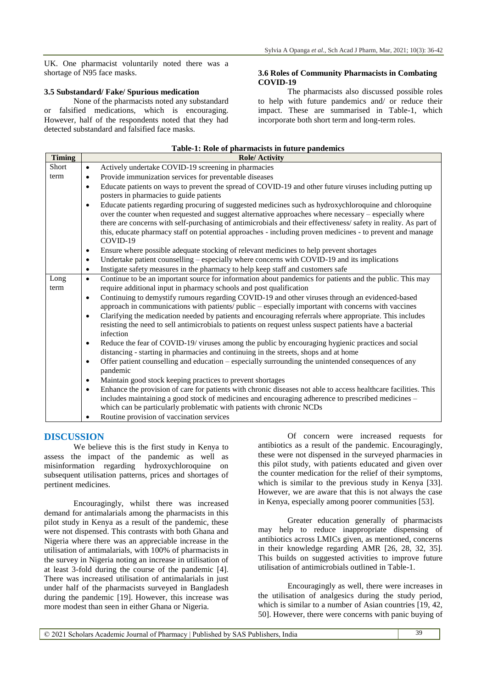UK. One pharmacist voluntarily noted there was a shortage of N95 face masks.

#### **3.5 Substandard/ Fake/ Spurious medication**

None of the pharmacists noted any substandard or falsified medications, which is encouraging. However, half of the respondents noted that they had detected substandard and falsified face masks.

#### **3.6 Roles of Community Pharmacists in Combating COVID-19**

The pharmacists also discussed possible roles to help with future pandemics and/ or reduce their impact. These are summarised in Table-1, which incorporate both short term and long-term roles.

| Table-1: Role of pharmacists in future pandemics |                                                                                                                              |
|--------------------------------------------------|------------------------------------------------------------------------------------------------------------------------------|
| <b>Timing</b>                                    | <b>Role/Activity</b>                                                                                                         |
| Short                                            | Actively undertake COVID-19 screening in pharmacies<br>$\bullet$                                                             |
| term                                             | Provide immunization services for preventable diseases<br>$\bullet$                                                          |
|                                                  | Educate patients on ways to prevent the spread of COVID-19 and other future viruses including putting up<br>$\bullet$        |
|                                                  | posters in pharmacies to guide patients                                                                                      |
|                                                  | Educate patients regarding procuring of suggested medicines such as hydroxychloroquine and chloroquine<br>$\bullet$          |
|                                                  | over the counter when requested and suggest alternative approaches where necessary – especially where                        |
|                                                  | there are concerns with self-purchasing of antimicrobials and their effectiveness/safety in reality. As part of              |
|                                                  | this, educate pharmacy staff on potential approaches - including proven medicines - to prevent and manage                    |
|                                                  | COVID-19                                                                                                                     |
|                                                  | Ensure where possible adequate stocking of relevant medicines to help prevent shortages<br>$\bullet$                         |
|                                                  | Undertake patient counselling – especially where concerns with COVID-19 and its implications<br>$\bullet$                    |
|                                                  | Instigate safety measures in the pharmacy to help keep staff and customers safe<br>$\bullet$                                 |
| Long                                             | Continue to be an important source for information about pandemics for patients and the public. This may<br>$\bullet$        |
| term                                             | require additional input in pharmacy schools and post qualification                                                          |
|                                                  | Continuing to demystify rumours regarding COVID-19 and other viruses through an evidenced-based<br>$\bullet$                 |
|                                                  | approach in communications with patients/ public – especially important with concerns with vaccines                          |
|                                                  | Clarifying the medication needed by patients and encouraging referrals where appropriate. This includes<br>$\bullet$         |
|                                                  | resisting the need to sell antimicrobials to patients on request unless suspect patients have a bacterial                    |
|                                                  | infection                                                                                                                    |
|                                                  | Reduce the fear of COVID-19/viruses among the public by encouraging hygienic practices and social<br>$\bullet$               |
|                                                  | distancing - starting in pharmacies and continuing in the streets, shops and at home                                         |
|                                                  | Offer patient counselling and education – especially surrounding the unintended consequences of any<br>$\bullet$             |
|                                                  | pandemic                                                                                                                     |
|                                                  | Maintain good stock keeping practices to prevent shortages<br>$\bullet$                                                      |
|                                                  | Enhance the provision of care for patients with chronic diseases not able to access healthcare facilities. This<br>$\bullet$ |
|                                                  | includes maintaining a good stock of medicines and encouraging adherence to prescribed medicines -                           |
|                                                  | which can be particularly problematic with patients with chronic NCDs                                                        |
|                                                  | Routine provision of vaccination services                                                                                    |

# **DISCUSSION**

We believe this is the first study in Kenya to assess the impact of the pandemic as well as misinformation regarding hydroxychloroquine on subsequent utilisation patterns, prices and shortages of pertinent medicines.

Encouragingly, whilst there was increased demand for antimalarials among the pharmacists in this pilot study in Kenya as a result of the pandemic, these were not dispensed. This contrasts with both Ghana and Nigeria where there was an appreciable increase in the utilisation of antimalarials, with 100% of pharmacists in the survey in Nigeria noting an increase in utilisation of at least 3-fold during the course of the pandemic [4]. There was increased utilisation of antimalarials in just under half of the pharmacists surveyed in Bangladesh during the pandemic [19]. However, this increase was more modest than seen in either Ghana or Nigeria.

Of concern were increased requests for antibiotics as a result of the pandemic. Encouragingly, these were not dispensed in the surveyed pharmacies in this pilot study, with patients educated and given over the counter medication for the relief of their symptoms, which is similar to the previous study in Kenya [33]. However, we are aware that this is not always the case in Kenya, especially among poorer communities [53].

Greater education generally of pharmacists may help to reduce inappropriate dispensing of antibiotics across LMICs given, as mentioned, concerns in their knowledge regarding AMR [26, 28, 32, 35]. This builds on suggested activities to improve future utilisation of antimicrobials outlined in Table-1.

Encouragingly as well, there were increases in the utilisation of analgesics during the study period, which is similar to a number of Asian countries [19, 42, 50]. However, there were concerns with panic buying of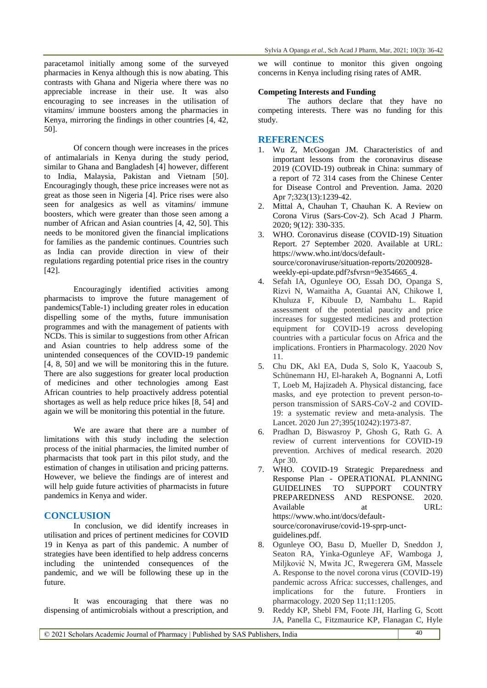paracetamol initially among some of the surveyed pharmacies in Kenya although this is now abating. This contrasts with Ghana and Nigeria where there was no appreciable increase in their use. It was also encouraging to see increases in the utilisation of vitamins/ immune boosters among the pharmacies in Kenya, mirroring the findings in other countries [4, 42, 50].

Of concern though were increases in the prices of antimalarials in Kenya during the study period, similar to Ghana and Bangladesh [4] however, different to India, Malaysia, Pakistan and Vietnam [50]. Encouragingly though, these price increases were not as great as those seen in Nigeria [4]. Price rises were also seen for analgesics as well as vitamins/ immune boosters, which were greater than those seen among a number of African and Asian countries [4, 42, 50]. This needs to be monitored given the financial implications for families as the pandemic continues. Countries such as India can provide direction in view of their regulations regarding potential price rises in the country [42].

Encouragingly identified activities among pharmacists to improve the future management of pandemics(Table-1) including greater roles in education dispelling some of the myths, future immunisation programmes and with the management of patients with NCDs. This is similar to suggestions from other African and Asian countries to help address some of the unintended consequences of the COVID-19 pandemic [4, 8, 50] and we will be monitoring this in the future. There are also suggestions for greater local production of medicines and other technologies among East African countries to help proactively address potential shortages as well as help reduce price hikes [8, 54] and again we will be monitoring this potential in the future.

We are aware that there are a number of limitations with this study including the selection process of the initial pharmacies, the limited number of pharmacists that took part in this pilot study, and the estimation of changes in utilisation and pricing patterns. However, we believe the findings are of interest and will help guide future activities of pharmacists in future pandemics in Kenya and wider.

# **CONCLUSION**

In conclusion, we did identify increases in utilisation and prices of pertinent medicines for COVID 19 in Kenya as part of this pandemic. A number of strategies have been identified to help address concerns including the unintended consequences of the pandemic, and we will be following these up in the future.

It was encouraging that there was no dispensing of antimicrobials without a prescription, and we will continue to monitor this given ongoing concerns in Kenya including rising rates of AMR.

#### **Competing Interests and Funding**

The authors declare that they have no competing interests. There was no funding for this study.

### **REFERENCES**

- 1. Wu Z, McGoogan JM. Characteristics of and important lessons from the coronavirus disease 2019 (COVID-19) outbreak in China: summary of a report of 72 314 cases from the Chinese Center for Disease Control and Prevention. Jama. 2020 Apr 7;323(13):1239-42.
- 2. Mittal A, Chauhan T, Chauhan K. A Review on Corona Virus (Sars-Cov-2). Sch Acad J Pharm. 2020; 9(12): 330-335.
- 3. WHO. Coronavirus disease (COVID-19) Situation Report. 27 September 2020. Available at URL: https://www.who.int/docs/defaultsource/coronaviruse/situation-reports/20200928 weekly-epi-update.pdf?sfvrsn=9e354665\_4.
- 4. Sefah IA, Ogunleye OO, Essah DO, Opanga S, Rizvi N, Wamaitha A, Guantai AN, Chikowe I, Khuluza F, Kibuule D, Nambahu L. Rapid assessment of the potential paucity and price increases for suggested medicines and protection equipment for COVID-19 across developing countries with a particular focus on Africa and the implications. Frontiers in Pharmacology. 2020 Nov 11.
- 5. Chu DK, Akl EA, Duda S, Solo K, Yaacoub S, Schünemann HJ, El-harakeh A, Bognanni A, Lotfi T, Loeb M, Hajizadeh A. Physical distancing, face masks, and eye protection to prevent person-toperson transmission of SARS-CoV-2 and COVID-19: a systematic review and meta-analysis. The Lancet. 2020 Jun 27;395(10242):1973-87.
- 6. Pradhan D, Biswasroy P, Ghosh G, Rath G. A review of current interventions for COVID-19 prevention. Archives of medical research. 2020 Apr 30.
- 7. WHO. COVID-19 Strategic Preparedness and Response Plan - OPERATIONAL PLANNING GUIDELINES TO SUPPORT COUNTRY PREPAREDNESS AND RESPONSE. 2020. Available at URL: https://www.who.int/docs/defaultsource/coronaviruse/covid-19-sprp-unctguidelines.pdf.
- 8. Ogunleye OO, Basu D, Mueller D, Sneddon J, Seaton RA, Yinka-Ogunleye AF, Wamboga J, Miljković N, Mwita JC, Rwegerera GM, Massele A. Response to the novel corona virus (COVID-19) pandemic across Africa: successes, challenges, and implications for the future. Frontiers in pharmacology. 2020 Sep 11;11:1205.
- 9. Reddy KP, Shebl FM, Foote JH, Harling G, Scott JA, Panella C, Fitzmaurice KP, Flanagan C, Hyle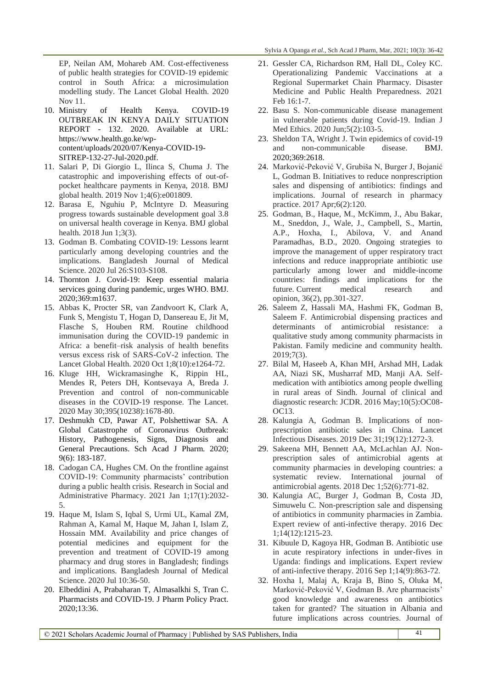EP, Neilan AM, Mohareb AM. Cost-effectiveness of public health strategies for COVID-19 epidemic control in South Africa: a microsimulation modelling study. The Lancet Global Health. 2020 Nov 11.

- 10. Ministry of Health Kenya. COVID-19 OUTBREAK IN KENYA DAILY SITUATION REPORT - 132. 2020. Available at URL: https://www.health.go.ke/wpcontent/uploads/2020/07/Kenya-COVID-19- SITREP-132-27-Jul-2020.pdf.
- 11. Salari P, Di Giorgio L, Ilinca S, Chuma J. The catastrophic and impoverishing effects of out-ofpocket healthcare payments in Kenya, 2018. BMJ global health. 2019 Nov 1;4(6):e001809.
- 12. Barasa E, Nguhiu P, McIntyre D. Measuring progress towards sustainable development goal 3.8 on universal health coverage in Kenya. BMJ global health. 2018 Jun 1;3(3).
- 13. Godman B. Combating COVID-19: Lessons learnt particularly among developing countries and the implications. Bangladesh Journal of Medical Science. 2020 Jul 26:S103-S108.
- 14. Thornton J. Covid-19: Keep essential malaria services going during pandemic, urges WHO. BMJ. 2020;369:m1637.
- 15. Abbas K, Procter SR, van Zandvoort K, Clark A, Funk S, Mengistu T, Hogan D, Dansereau E, Jit M, Flasche S, Houben RM. Routine childhood immunisation during the COVID-19 pandemic in Africa: a benefit–risk analysis of health benefits versus excess risk of SARS-CoV-2 infection. The Lancet Global Health. 2020 Oct 1;8(10):e1264-72.
- 16. Kluge HH, Wickramasinghe K, Rippin HL, Mendes R, Peters DH, Kontsevaya A, Breda J. Prevention and control of non-communicable diseases in the COVID-19 response. The Lancet. 2020 May 30;395(10238):1678-80.
- 17. Deshmukh CD, Pawar AT, Polshettiwar SA. A Global Catastrophe of Coronavirus Outbreak: History, Pathogenesis, Signs, Diagnosis and General Precautions. Sch Acad J Pharm. 2020; 9(6): 183-187.
- 18. Cadogan CA, Hughes CM. On the frontline against COVID-19: Community pharmacists' contribution during a public health crisis. Research in Social and Administrative Pharmacy. 2021 Jan 1;17(1):2032- 5.
- 19. Haque M, Islam S, Iqbal S, Urmi UL, Kamal ZM, Rahman A, Kamal M, Haque M, Jahan I, Islam Z, Hossain MM. Availability and price changes of potential medicines and equipment for the prevention and treatment of COVID-19 among pharmacy and drug stores in Bangladesh; findings and implications. Bangladesh Journal of Medical Science. 2020 Jul 10:36-50.
- 20. Elbeddini A, Prabaharan T, Almasalkhi S, Tran C. Pharmacists and COVID-19. J Pharm Policy Pract. 2020;13:36.
- 21. Gessler CA, Richardson RM, Hall DL, Coley KC. Operationalizing Pandemic Vaccinations at a Regional Supermarket Chain Pharmacy. Disaster Medicine and Public Health Preparedness. 2021 Feb 16:1-7.
- 22. Basu S. Non-communicable disease management in vulnerable patients during Covid-19. Indian J Med Ethics. 2020 Jun;5(2):103-5.
- 23. Sheldon TA, Wright J. Twin epidemics of covid-19 and non-communicable disease. BMJ. 2020;369:2618.
- 24. Marković-Peković V, Grubiša N, Burger J, Bojanić L, Godman B. Initiatives to reduce nonprescription sales and dispensing of antibiotics: findings and implications. Journal of research in pharmacy practice. 2017 Apr;6(2):120.
- 25. Godman, B., Haque, M., McKimm, J., Abu Bakar, M., Sneddon, J., Wale, J., Campbell, S., Martin, A.P., Hoxha, I., Abilova, V. and Anand Paramadhas, B.D., 2020. Ongoing strategies to improve the management of upper respiratory tract infections and reduce inappropriate antibiotic use particularly among lower and middle-income countries: findings and implications for the future. Current medical research and opinion, 36(2), pp.301-327.
- 26. Saleem Z, Hassali MA, Hashmi FK, Godman B, Saleem F. Antimicrobial dispensing practices and determinants of antimicrobial resistance: a qualitative study among community pharmacists in Pakistan. Family medicine and community health. 2019;7(3).
- 27. Bilal M, Haseeb A, Khan MH, Arshad MH, Ladak AA, Niazi SK, Musharraf MD, Manji AA. Selfmedication with antibiotics among people dwelling in rural areas of Sindh. Journal of clinical and diagnostic research: JCDR. 2016 May;10(5):OC08- OC13.
- 28. Kalungia A, Godman B. Implications of nonprescription antibiotic sales in China. Lancet Infectious Diseases. 2019 Dec 31;19(12):1272-3.
- 29. Sakeena MH, Bennett AA, McLachlan AJ. Nonprescription sales of antimicrobial agents at community pharmacies in developing countries: a systematic review. International journal of antimicrobial agents. 2018 Dec 1;52(6):771-82.
- 30. Kalungia AC, Burger J, Godman B, Costa JD, Simuwelu C. Non-prescription sale and dispensing of antibiotics in community pharmacies in Zambia. Expert review of anti-infective therapy. 2016 Dec 1;14(12):1215-23.
- 31. Kibuule D, Kagoya HR, Godman B. Antibiotic use in acute respiratory infections in under-fives in Uganda: findings and implications. Expert review of anti-infective therapy. 2016 Sep 1;14(9):863-72.
- 32. Hoxha I, Malaj A, Kraja B, Bino S, Oluka M, Marković-Peković V, Godman B. Are pharmacists' good knowledge and awareness on antibiotics taken for granted? The situation in Albania and future implications across countries. Journal of

© 2021 Scholars Academic Journal of Pharmacy | Published by SAS Publishers, India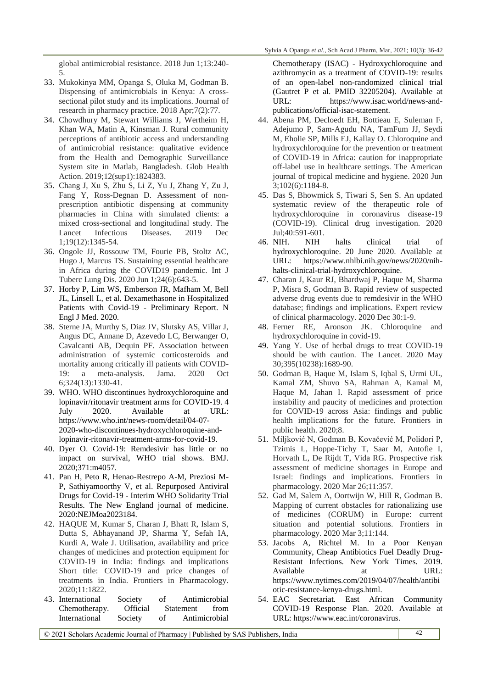global antimicrobial resistance. 2018 Jun 1;13:240- 5.

- 33. Mukokinya MM, Opanga S, Oluka M, Godman B. Dispensing of antimicrobials in Kenya: A crosssectional pilot study and its implications. Journal of research in pharmacy practice. 2018 Apr;7(2):77.
- 34. Chowdhury M, Stewart Williams J, Wertheim H, Khan WA, Matin A, Kinsman J. Rural community perceptions of antibiotic access and understanding of antimicrobial resistance: qualitative evidence from the Health and Demographic Surveillance System site in Matlab, Bangladesh. Glob Health Action. 2019;12(sup1):1824383.
- 35. Chang J, Xu S, Zhu S, Li Z, Yu J, Zhang Y, Zu J, Fang Y, Ross-Degnan D. Assessment of nonprescription antibiotic dispensing at community pharmacies in China with simulated clients: a mixed cross-sectional and longitudinal study. The Lancet Infectious Diseases. 2019 Dec 1;19(12):1345-54.
- 36. Ongole JJ, Rossouw TM, Fourie PB, Stoltz AC, Hugo J, Marcus TS. Sustaining essential healthcare in Africa during the COVID19 pandemic. Int J Tuberc Lung Dis. 2020 Jun 1;24(6):643-5.
- 37. Horby P, Lim WS, Emberson JR, Mafham M, Bell JL, Linsell L, et al. Dexamethasone in Hospitalized Patients with Covid-19 - Preliminary Report. N Engl J Med. 2020.
- 38. Sterne JA, Murthy S, Diaz JV, Slutsky AS, Villar J, Angus DC, Annane D, Azevedo LC, Berwanger O, Cavalcanti AB, Dequin PF. Association between administration of systemic corticosteroids and mortality among critically ill patients with COVID-19: a meta-analysis. Jama. 2020 Oct 6;324(13):1330-41.
- 39. WHO. WHO discontinues hydroxychloroquine and lopinavir/ritonavir treatment arms for COVID-19. 4 July 2020. Available at URL: https://www.who.int/news-room/detail/04-07- 2020-who-discontinues-hydroxychloroquine-andlopinavir-ritonavir-treatment-arms-for-covid-19.
- 40. Dyer O. Covid-19: Remdesivir has little or no impact on survival, WHO trial shows. BMJ. 2020;371:m4057.
- 41. Pan H, Peto R, Henao-Restrepo A-M, Preziosi M-P, Sathiyamoorthy V, et al. Repurposed Antiviral Drugs for Covid-19 - Interim WHO Solidarity Trial Results. The New England journal of medicine. 2020:NEJMoa2023184.
- 42. HAQUE M, Kumar S, Charan J, Bhatt R, Islam S, Dutta S, Abhayanand JP, Sharma Y, Sefah IA, Kurdi A, Wale J. Utilisation, availability and price changes of medicines and protection equipment for COVID-19 in India: findings and implications Short title: COVID-19 and price changes of treatments in India. Frontiers in Pharmacology. 2020;11:1822.
- 43. International Society of Antimicrobial Chemotherapy. Official Statement from International Society of Antimicrobial

Chemotherapy (ISAC) - Hydroxychloroquine and azithromycin as a treatment of COVID-19: results of an open-label non-randomized clinical trial (Gautret P et al. PMID 32205204). Available at URL: https://www.isac.world/news-andpublications/official-isac-statement.

- 44. Abena PM, Decloedt EH, Bottieau E, Suleman F, Adejumo P, Sam-Agudu NA, TamFum JJ, Seydi M, Eholie SP, Mills EJ, Kallay O. Chloroquine and hydroxychloroquine for the prevention or treatment of COVID-19 in Africa: caution for inappropriate off-label use in healthcare settings. The American journal of tropical medicine and hygiene. 2020 Jun 3;102(6):1184-8.
- 45. Das S, Bhowmick S, Tiwari S, Sen S. An updated systematic review of the therapeutic role of hydroxychloroquine in coronavirus disease-19 (COVID-19). Clinical drug investigation. 2020 Jul;40:591-601.
- 46. NIH. NIH halts clinical trial of hydroxychloroquine. 20 June 2020. Available at URL: https://www.nhlbi.nih.gov/news/2020/nihhalts-clinical-trial-hydroxychloroquine.
- 47. Charan J, Kaur RJ, Bhardwaj P, Haque M, Sharma P, Misra S, Godman B. Rapid review of suspected adverse drug events due to remdesivir in the WHO database; findings and implications. Expert review of clinical pharmacology. 2020 Dec 30:1-9.
- 48. Ferner RE, Aronson JK. Chloroquine and hydroxychloroquine in covid-19.
- 49. Yang Y. Use of herbal drugs to treat COVID-19 should be with caution. The Lancet. 2020 May 30;395(10238):1689-90.
- 50. Godman B, Haque M, Islam S, Iqbal S, Urmi UL, Kamal ZM, Shuvo SA, Rahman A, Kamal M, Haque M, Jahan I. Rapid assessment of price instability and paucity of medicines and protection for COVID-19 across Asia: findings and public health implications for the future. Frontiers in public health. 2020;8.
- 51. Miljković N, Godman B, Kovačević M, Polidori P, Tzimis L, Hoppe-Tichy T, Saar M, Antofie I, Horvath L, De Rijdt T, Vida RG. Prospective risk assessment of medicine shortages in Europe and Israel: findings and implications. Frontiers in pharmacology. 2020 Mar 26;11:357.
- 52. Gad M, Salem A, Oortwijn W, Hill R, Godman B. Mapping of current obstacles for rationalizing use of medicines (CORUM) in Europe: current situation and potential solutions. Frontiers in pharmacology. 2020 Mar 3;11:144.
- 53. Jacobs A, Richtel M. In a Poor Kenyan Community, Cheap Antibiotics Fuel Deadly Drug-Resistant Infections. New York Times. 2019. Available at URL: https://www.nytimes.com/2019/04/07/health/antibi otic-resistance-kenya-drugs.html.
- 54. EAC Secretariat. East African Community COVID-19 Response Plan. 2020. Available at URL: https://www.eac.int/coronavirus.

© 2021 Scholars Academic Journal of Pharmacy | Published by SAS Publishers, India